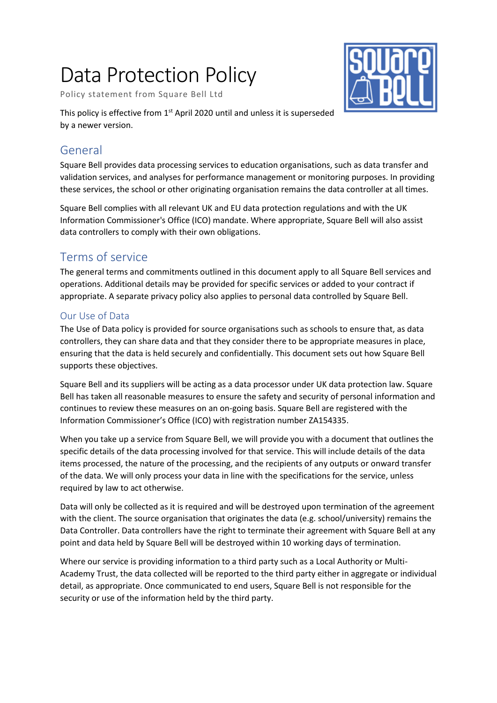# Data Protection Policy

Policy statement from Square Bell Ltd



This policy is effective from 1<sup>st</sup> April 2020 until and unless it is superseded by a newer version.

# General

Square Bell provides data processing services to education organisations, such as data transfer and validation services, and analyses for performance management or monitoring purposes. In providing these services, the school or other originating organisation remains the data controller at all times.

Square Bell complies with all relevant UK and EU data protection regulations and with the UK Information Commissioner's Office (ICO) mandate. Where appropriate, Square Bell will also assist data controllers to comply with their own obligations.

# Terms of service

The general terms and commitments outlined in this document apply to all Square Bell services and operations. Additional details may be provided for specific services or added to your contract if appropriate. A separate privacy policy also applies to personal data controlled by Square Bell.

### Our Use of Data

The Use of Data policy is provided for source organisations such as schools to ensure that, as data controllers, they can share data and that they consider there to be appropriate measures in place, ensuring that the data is held securely and confidentially. This document sets out how Square Bell supports these objectives.

Square Bell and its suppliers will be acting as a data processor under UK data protection law. Square Bell has taken all reasonable measures to ensure the safety and security of personal information and continues to review these measures on an on-going basis. Square Bell are registered with the Information Commissioner's Office (ICO) with registration number ZA154335.

When you take up a service from Square Bell, we will provide you with a document that outlines the specific details of the data processing involved for that service. This will include details of the data items processed, the nature of the processing, and the recipients of any outputs or onward transfer of the data. We will only process your data in line with the specifications for the service, unless required by law to act otherwise.

Data will only be collected as it is required and will be destroyed upon termination of the agreement with the client. The source organisation that originates the data (e.g. school/university) remains the Data Controller. Data controllers have the right to terminate their agreement with Square Bell at any point and data held by Square Bell will be destroyed within 10 working days of termination.

Where our service is providing information to a third party such as a Local Authority or Multi-Academy Trust, the data collected will be reported to the third party either in aggregate or individual detail, as appropriate. Once communicated to end users, Square Bell is not responsible for the security or use of the information held by the third party.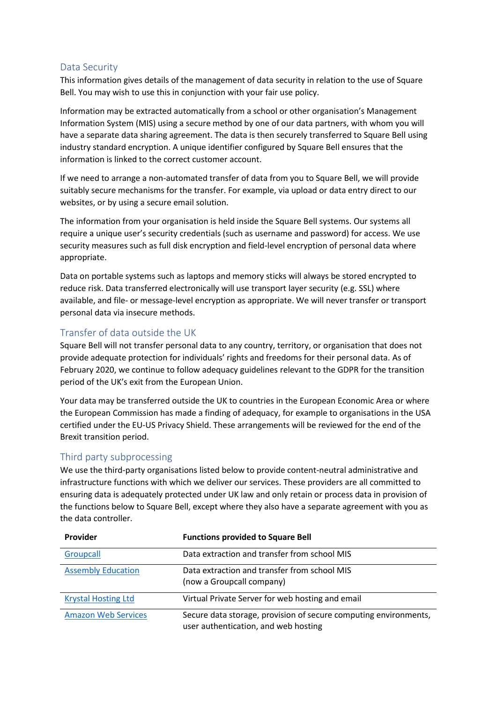#### Data Security

This information gives details of the management of data security in relation to the use of Square Bell. You may wish to use this in conjunction with your fair use policy.

Information may be extracted automatically from a school or other organisation's Management Information System (MIS) using a secure method by one of our data partners, with whom you will have a separate data sharing agreement. The data is then securely transferred to Square Bell using industry standard encryption. A unique identifier configured by Square Bell ensures that the information is linked to the correct customer account.

If we need to arrange a non-automated transfer of data from you to Square Bell, we will provide suitably secure mechanisms for the transfer. For example, via upload or data entry direct to our websites, or by using a secure email solution.

The information from your organisation is held inside the Square Bell systems. Our systems all require a unique user's security credentials (such as username and password) for access. We use security measures such as full disk encryption and field-level encryption of personal data where appropriate.

Data on portable systems such as laptops and memory sticks will always be stored encrypted to reduce risk. Data transferred electronically will use transport layer security (e.g. SSL) where available, and file- or message-level encryption as appropriate. We will never transfer or transport personal data via insecure methods.

#### Transfer of data outside the UK

Square Bell will not transfer personal data to any country, territory, or organisation that does not provide adequate protection for individuals' rights and freedoms for their personal data. As of February 2020, we continue to follow adequacy guidelines relevant to the GDPR for the transition period of the UK's exit from the European Union.

Your data may be transferred outside the UK to countries in the European Economic Area or where the European Commission has made a finding of adequacy, for example to organisations in the USA certified under the EU-US Privacy Shield. These arrangements will be reviewed for the end of the Brexit transition period.

#### Third party subprocessing

We use the third-party organisations listed below to provide content-neutral administrative and infrastructure functions with which we deliver our services. These providers are all committed to ensuring data is adequately protected under UK law and only retain or process data in provision of the functions below to Square Bell, except where they also have a separate agreement with you as the data controller.

| <b>Provider</b>            | <b>Functions provided to Square Bell</b>                                                                 |
|----------------------------|----------------------------------------------------------------------------------------------------------|
| Groupcall                  | Data extraction and transfer from school MIS                                                             |
| <b>Assembly Education</b>  | Data extraction and transfer from school MIS<br>(now a Groupcall company)                                |
| <b>Krystal Hosting Ltd</b> | Virtual Private Server for web hosting and email                                                         |
| <b>Amazon Web Services</b> | Secure data storage, provision of secure computing environments,<br>user authentication, and web hosting |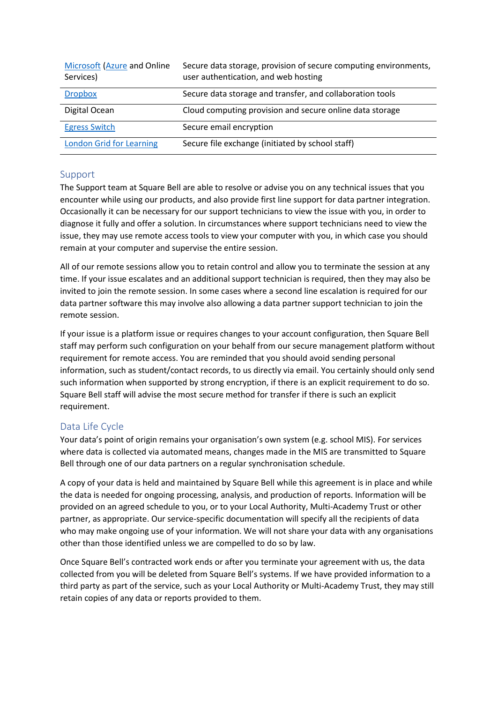| <b>Microsoft (Azure and Online</b><br>Services) | Secure data storage, provision of secure computing environments,<br>user authentication, and web hosting |
|-------------------------------------------------|----------------------------------------------------------------------------------------------------------|
| <b>Dropbox</b>                                  | Secure data storage and transfer, and collaboration tools                                                |
| Digital Ocean                                   | Cloud computing provision and secure online data storage                                                 |
| <b>Egress Switch</b>                            | Secure email encryption                                                                                  |
| <b>London Grid for Learning</b>                 | Secure file exchange (initiated by school staff)                                                         |

#### Support

The Support team at Square Bell are able to resolve or advise you on any technical issues that you encounter while using our products, and also provide first line support for data partner integration. Occasionally it can be necessary for our support technicians to view the issue with you, in order to diagnose it fully and offer a solution. In circumstances where support technicians need to view the issue, they may use remote access tools to view your computer with you, in which case you should remain at your computer and supervise the entire session.

All of our remote sessions allow you to retain control and allow you to terminate the session at any time. If your issue escalates and an additional support technician is required, then they may also be invited to join the remote session. In some cases where a second line escalation is required for our data partner software this may involve also allowing a data partner support technician to join the remote session.

If your issue is a platform issue or requires changes to your account configuration, then Square Bell staff may perform such configuration on your behalf from our secure management platform without requirement for remote access. You are reminded that you should avoid sending personal information, such as student/contact records, to us directly via email. You certainly should only send such information when supported by strong encryption, if there is an explicit requirement to do so. Square Bell staff will advise the most secure method for transfer if there is such an explicit requirement.

#### Data Life Cycle

Your data's point of origin remains your organisation's own system (e.g. school MIS). For services where data is collected via automated means, changes made in the MIS are transmitted to Square Bell through one of our data partners on a regular synchronisation schedule.

A copy of your data is held and maintained by Square Bell while this agreement is in place and while the data is needed for ongoing processing, analysis, and production of reports. Information will be provided on an agreed schedule to you, or to your Local Authority, Multi-Academy Trust or other partner, as appropriate. Our service-specific documentation will specify all the recipients of data who may make ongoing use of your information. We will not share your data with any organisations other than those identified unless we are compelled to do so by law.

Once Square Bell's contracted work ends or after you terminate your agreement with us, the data collected from you will be deleted from Square Bell's systems. If we have provided information to a third party as part of the service, such as your Local Authority or Multi-Academy Trust, they may still retain copies of any data or reports provided to them.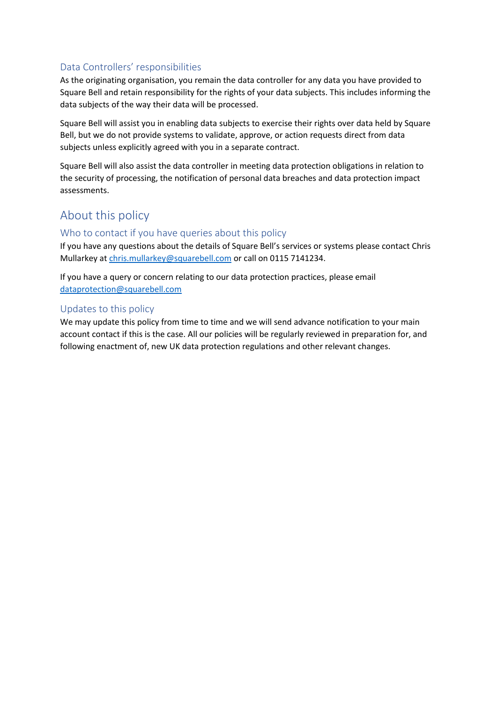#### Data Controllers' responsibilities

As the originating organisation, you remain the data controller for any data you have provided to Square Bell and retain responsibility for the rights of your data subjects. This includes informing the data subjects of the way their data will be processed.

Square Bell will assist you in enabling data subjects to exercise their rights over data held by Square Bell, but we do not provide systems to validate, approve, or action requests direct from data subjects unless explicitly agreed with you in a separate contract.

Square Bell will also assist the data controller in meeting data protection obligations in relation to the security of processing, the notification of personal data breaches and data protection impact assessments.

## About this policy

#### Who to contact if you have queries about this policy

If you have any questions about the details of Square Bell's services or systems please contact Chris Mullarkey a[t chris.mullarkey@squarebell.com](mailto:chris.mullarkey@squarebell.com) or call on 0115 7141234.

If you have a query or concern relating to our data protection practices, please email [dataprotection@squarebell.com](mailto:dataprotection@squarebell.com)

#### Updates to this policy

We may update this policy from time to time and we will send advance notification to your main account contact if this is the case. All our policies will be regularly reviewed in preparation for, and following enactment of, new UK data protection regulations and other relevant changes.